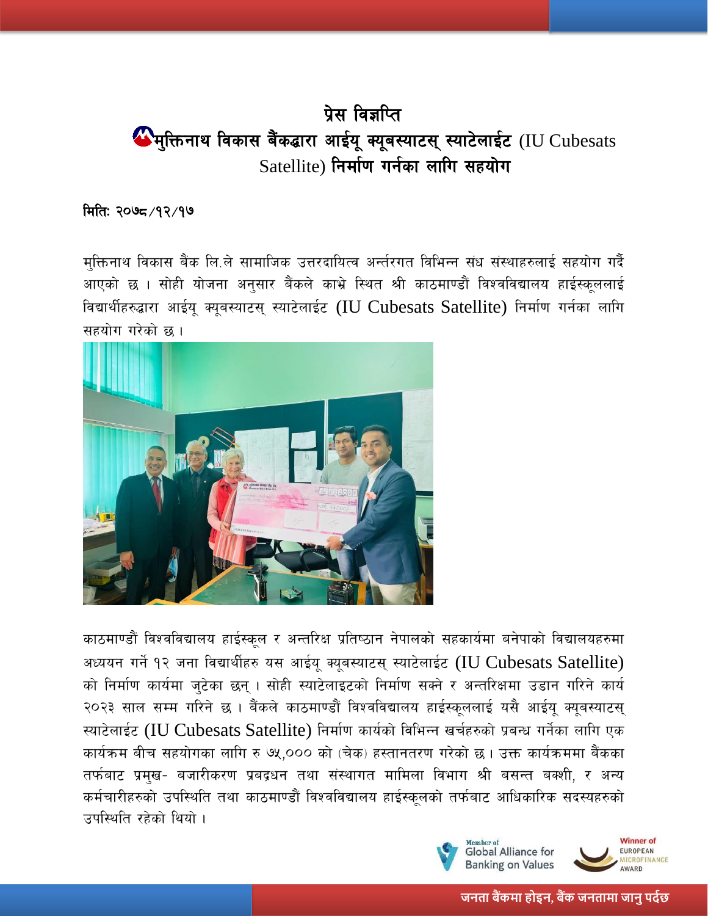## प्रेस विज्ञप्ति  $\bigoplus$ मुक्तिनाथ विकास बैंकद्धारा आईयू क्यूबस्याटस् स्याटेलाईट (IU Cubesats  $S$ atellite) निर्माण गर्नका लागि सहयोग

## मिति: २०७८/१२/१७

मक्तिनाथ विकास बैंक लि.ले सामाजिक उत्तरदायित्व अर्न्तरगत विभिन्न संध संस्थाहरुलाई सहयोग गर्दै आएको छ । सोही योजना अनुसार बैंकले काभ्रे स्थित श्री काठमाण्डौं विश्वविद्यालय हाईस्कूललाई विद्यार्थीहरुद्धारा आईयू क्यूबस्याटस् स्याटेलाईट (IU Cubesats Satellite) निर्माण गर्नका लागि सहयोग गरेको छ ।



काठमाण्डौं विश्वविद्यालय हाईस्कूल र अन्तरिक्ष प्रतिष्ठान नेपालको सहकार्यमा बनेपाको विद्यालयहरुमा अध्ययन गर्ने १२ जना विद्यार्थीहरु यस आईय क्यूबस्याटस स्याटेलाईट (IU Cubesats Satellite) को निर्माण कार्यमा जुटेका छन् । सोही स्याटेलाइटको निर्माण सक्ने र अन्तरिक्षमा उडान गरिने कार्य २०२३ साल सम्म गरिने छ । बैंकले काठमाण्डौं विश्वविद्यालय हाईस्कूललाई यसै आईयू क्यूबस्याटस् स्याटेलाईट (IU Cubesats Satellite) निर्माण कार्यको विभिन्न खर्चहरुको प्रबन्ध गर्नेका लागि एक कार्यक्रम बीच सहयोगका लागि रु ७५,००० को (चेक) हस्तानतरण गरेको छ। उक्त कार्यक्रममा बैंकका तर्फबाट प्रमुख- बजारीकरण प्रबद्रधन तथा संस्थागत मामिला विभाग श्री बसन्त बक्शी, र अन्य कर्मचारीहरुको उपस्थिति तथा काठमाण्डौं विश्वविद्यालय हाईस्कूलको तर्फबाट आधिकारिक सदस्यहरुको उपस्थिति रहेको थियो ।